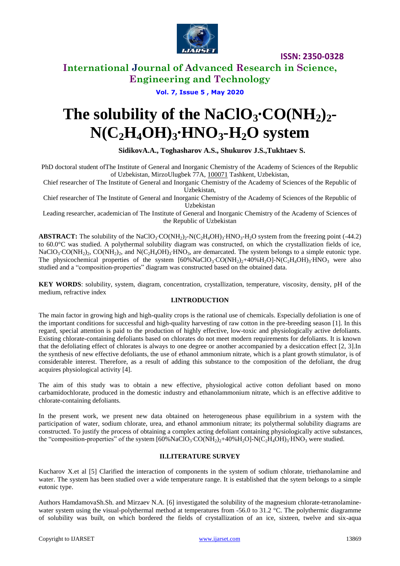

# **International Journal of Advanced Research in Science, Engineering and Technology**

# **Vol. 7, Issue 5 , May 2020**

# **The solubility of the NaClO<sub>3</sub>•CO(NH<sub>2</sub>)<sub>2</sub><sup>** $\bullet$ **</sup>**  $N(C_2H_4OH)_3 \cdot HNO_3$ **-H**<sub>2</sub>**O** system

# **SidikovA.A., Toghasharov A.S., Shukurov J.S.,Tukhtaev S.**

PhD doctoral student ofThe Institute of General and Inorganic Chemistry of the Academy of Sciences of the Republic of Uzbekistan, MirzoUlugbek 77A, [100071](https://www.goldenpages.uz/orgbyindex/?Id=100071) Tashkent, Uzbekistan,

Chief researcher of The Institute of General and Inorganic Chemistry of the Academy of Sciences of the Republic of Uzbekistan,

Chief researcher of The Institute of General and Inorganic Chemistry of the Academy of Sciences of the Republic of Uzbekistan

Leading researcher, academician of The Institute of General and Inorganic Chemistry of the Academy of Sciences of the Republic of Uzbekistan

ABSTRACT: The solubility of the NaClO<sub>3</sub>⋅CO(NH<sub>2</sub>)<sub>2</sub>⋅N(C<sub>2</sub>H<sub>4</sub>OH)<sub>3</sub>⋅HNO<sub>3</sub>⋅H<sub>2</sub>O system from the freezing point (-44.2) to 60.0°C was studied. A polythermal solubility diagram was constructed, on which the crystallization fields of ice, NaClO<sub>3</sub>⋅CO(NH<sub>2</sub>)<sub>2</sub>, CO(NH<sub>2</sub>)<sub>2</sub>, and N(C<sub>2</sub>H<sub>4</sub>OH)<sub>3</sub>⋅HNO<sub>3</sub>, are demarcated. The system belongs to a simple eutonic type. The physicochemical properties of the system  $[60\% NaClO_3$ °CO(NH<sub>2</sub>)<sub>2</sub>+40%H<sub>2</sub>O]-N(C<sub>2</sub>H<sub>4</sub>OH)<sub>3</sub>⋅HNO<sub>3</sub> were also studied and a "composition-properties" diagram was constructed based on the obtained data.

**KEY WORDS**: solubility, system, diagram, concentration, crystallization, temperature, viscosity, density, pH of the medium, refractive index

# **I.INTRODUCTION**

The main factor in growing high and high-quality crops is the rational use of chemicals. Especially defoliation is one of the important conditions for successful and high-quality harvesting of raw cotton in the pre-breeding season [1]. In this regard, special attention is paid to the production of highly effective, low-toxic and physiologically active defoliants. Existing chlorate-containing defoliants based on chlorates do not meet modern requirements for defoliants. It is known that the defoliating effect of chlorates is always to one degree or another accompanied by a desiccation effect [2, 3].In the synthesis of new effective defoliants, the use of ethanol ammonium nitrate, which is a plant growth stimulator, is of considerable interest. Therefore, as a result of adding this substance to the composition of the defoliant, the drug acquires physiological activity [4].

The aim of this study was to obtain a new effective, physiological active cotton defoliant based on mono carbamidochlorate, produced in the domestic industry and ethanolammonium nitrate, which is an effective additive to chlorate-containing defoliants.

In the present work, we present new data obtained on heterogeneous phase equilibrium in a system with the participation of water, sodium chlorate, urea, and ethanol ammonium nitrate; its polythermal solubility diagrams are constructed. To justify the process of obtaining a complex acting defoliant containing physiologically active substances, the "composition-properties" of the system  $[60\%$ NaClO<sub>3</sub>⋅CO(NH<sub>2</sub>)<sub>2</sub>+40%H<sub>2</sub>O]-N(C<sub>2</sub>H<sub>4</sub>OH)<sub>3</sub>⋅HNO<sub>3</sub> were studied.

## **II.LITERATURE SURVEY**

Kucharov X.et al [5] Clarified the interaction of components in the system of sodium chlorate, triethanolamine and water. The system has been studied over a wide temperature range. It is established that the sytem belongs to a simple eutonic type.

Authors HamdamovaSh.Sh. and Mirzaev N.A. [6] investigated the solubility of the magnesium chlorate-tetranolaminewater system using the visual-polythermal method at temperatures from -56.0 to 31.2 °C. The polythermic diagramme of solubility was built, on which bordered the fields of crystallization of an ice, sixteen, twelve and six-aqua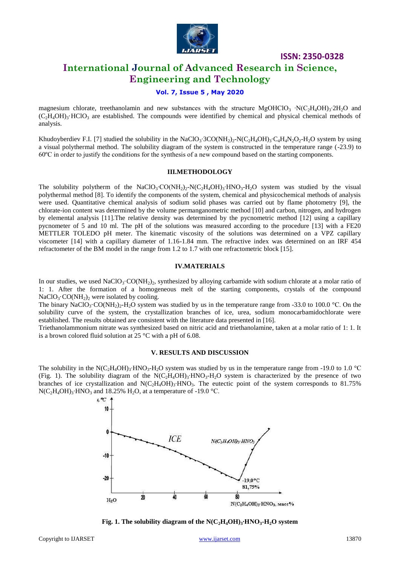

# **International Journal of Advanced Research in Science, Engineering and Technology**

# **Vol. 7, Issue 5 , May 2020**

magnesium chlorate, treethanolamin and new substances with the structure MgOHClO<sub>3</sub> ⋅N(C<sub>2</sub>H<sub>4</sub>OH)<sub>3</sub>⋅2H<sub>2</sub>O and  $(C_2H_4OH_3$ <sup>-</sup>HClO<sub>3</sub> are established. The compounds were identified by chemical and physical chemical methods of analysis.

Khudoyberdiev F.I. [7] studied the solubility in the NaClO<sub>3</sub>⋅3CO(NH<sub>2</sub>)<sub>2</sub>-N(C<sub>2</sub>H<sub>4</sub>OH)<sub>3</sub>⋅C<sub>4</sub>H<sub>4</sub>N<sub>2</sub>O<sub>2</sub>⋅H<sub>2</sub>O system by using a visual polythermal method. The solubility diagram of the system is constructed in the temperature range (-23.9) to 60ºС in order to justify the conditions for the synthesis of a new compound based on the starting components.

#### **III.METHODOLOGY**

The solubility polytherm of the NaClO<sub>3</sub>⋅CO(NH<sub>2</sub>)<sub>2</sub>-N(C<sub>2</sub>H<sub>4</sub>OH)<sub>3</sub>⋅HNO<sub>3</sub>⋅H<sub>2</sub>O system was studied by the visual polythermal method [8]. To identify the components of the system, chemical and physicochemical methods of analysis were used. Quantitative chemical analysis of sodium solid phases was carried out by flame photometry [9], the chlorate-ion content was determined by the volume permanganometric method [10] and carbon, nitrogen, and hydrogen by elemental analysis [11].The relative density was determined by the pycnometric method [12] using a capillary pycnometer of 5 and 10 ml. The pH of the solutions was measured according to the procedure [13] with a FE20 METTLER TOLEDO pH meter. The kinematic viscosity of the solutions was determined on a VPZ capillary viscometer [14] with a capillary diameter of 1.16-1.84 mm. The refractive index was determined on an IRF 454 refractometer of the BM model in the range from 1.2 to 1.7 with one refractometric block [15].

## **IV.MATERIALS**

In our studies, we used NaClO<sub>3</sub>·CO(NH<sub>2</sub>)<sub>2</sub>, synthesized by alloying carbamide with sodium chlorate at a molar ratio of 1: 1. After the formation of a homogeneous melt of the starting components, crystals of the compound  $NaClO<sub>3</sub> \cdot CO(NH<sub>2</sub>)<sub>2</sub>$  were isolated by cooling.

The binary NaClO<sub>3</sub>·CO(NH<sub>2</sub>)<sub>2</sub>-H<sub>2</sub>O system was studied by us in the temperature range from -33.0 to 100.0 °C. On the solubility curve of the system, the crystallization branches of ice, urea, sodium monocarbamidochlorate were established. The results obtained are consistent with the literature data presented in [16].

Triethanolammonium nitrate was synthesized based on nitric acid and triethanolamine, taken at a molar ratio of 1: 1. It is a brown colored fluid solution at 25 °C with a pH of 6.08.

#### **V. RESULTS AND DISCUSSION**

The solubility in the N(C<sub>2</sub>H<sub>4</sub>OH)<sub>3</sub>⋅HNO<sub>3</sub>⋅H<sub>2</sub>O system was studied by us in the temperature range from -19.0 to 1.0 °C (Fig. 1). The solubility diagram of the  $N(C_2H_4OH)_3$ <sup>-HNO</sup>3<sup>-H<sub>2</sub>O system is characterized by the presence of two</sup> branches of ice crystallization and N(C2H4OH)3∙HNO3. The eutectic point of the system corresponds to 81.75%  $N(C_2H_4OH)_3$ <sup>•</sup>HNO<sub>3</sub> and 18.25% H<sub>2</sub>O, at a temperature of -19.0 °C.



**Fig. 1. The solubility diagram of the**  $N(C_2H_4OH)_3$ **<b>•HNO**<sub>3</sub>**•H**<sub>2</sub>**O** system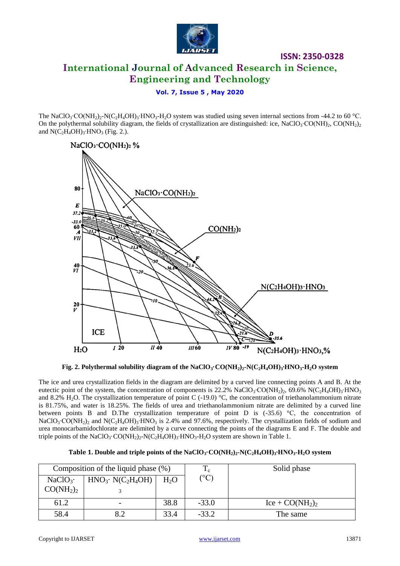

# **International Journal of Advanced Research in Science, Engineering and Technology**

**ISSN: 2350-0328**

## **Vol. 7, Issue 5 , May 2020**

The NaClO<sub>3</sub>⋅CO(NH<sub>2</sub>)<sub>2</sub>⋅N(C<sub>2</sub>H<sub>4</sub>OH)<sub>3</sub>⋅HNO<sub>3</sub>⋅H<sub>2</sub>O system was studied using seven internal sections from -44.2 to 60 °C. On the polythermal solubility diagram, the fields of crystallization are distinguished: ice, NaClO<sub>3</sub>⋅CO(NH<sub>2</sub>)<sub>2</sub>, CO(NH<sub>2</sub>)<sub>2</sub> and  $N(C_2H_4OH)_3$ ⋅HNO<sub>3</sub> (Fig. 2.).





The ice and urea crystallization fields in the diagram are delimited by a curved line connecting points A and B. At the eutectic point of the system, the concentration of components is 22.2% NaClO<sub>3</sub>⋅CO(NH<sub>2</sub>)<sub>2</sub>, 69.6% N(C<sub>2</sub>H<sub>4</sub>OH)<sub>3</sub>⋅HNO<sub>3</sub> and 8.2% H<sub>2</sub>O. The crystallization temperature of point C (-19.0) °C, the concentration of triethanolammonium nitrate is 81.75%, and water is 18.25%. The fields of urea and triethanolammonium nitrate are delimited by a curved line between points B and D.The crystallization temperature of point D is  $(-35.6)$  °C, the concentration of NaClO<sub>3</sub>⋅CO(NH<sub>2</sub>)<sub>2</sub> and N(C<sub>2</sub>H<sub>4</sub>OH)<sub>3</sub>⋅HNO<sub>3</sub> is 2.4% and 97.6%, respectively. The crystallization fields of sodium and urea monocarbamidochlorate are delimited by a curve connecting the points of the diagrams E and F. The double and triple points of the NaClO<sub>3</sub>·CO(NH<sub>2</sub>)<sub>2</sub>-N(C<sub>2</sub>H<sub>4</sub>OH)<sub>3</sub>⋅HNO<sub>3</sub>⋅H<sub>2</sub>O system are shown in Table 1.

| Table 1. Double and triple points of the NaClO <sub>3</sub> .CO(NH <sub>2</sub> ) <sub>2</sub> -N(C <sub>2</sub> H <sub>4</sub> OH) <sub>3</sub> .HNO <sub>3</sub> -H <sub>2</sub> O system |  |
|---------------------------------------------------------------------------------------------------------------------------------------------------------------------------------------------|--|
|---------------------------------------------------------------------------------------------------------------------------------------------------------------------------------------------|--|

|                                   | Composition of the liquid phase $(\%)$ |        |                | Solid phase      |
|-----------------------------------|----------------------------------------|--------|----------------|------------------|
| $NaClO3$ .                        | $HNO3·N(C2H4OH)$                       | $H_2O$ | $\rm ^{10}C$ ) |                  |
| CO(NH <sub>2</sub> ) <sub>2</sub> |                                        |        |                |                  |
| 61.2                              |                                        | 38.8   | $-33.0$        | $Ice + CO(NH2)2$ |
| 58.4                              |                                        | 33.4   | $-33.2$        | The same         |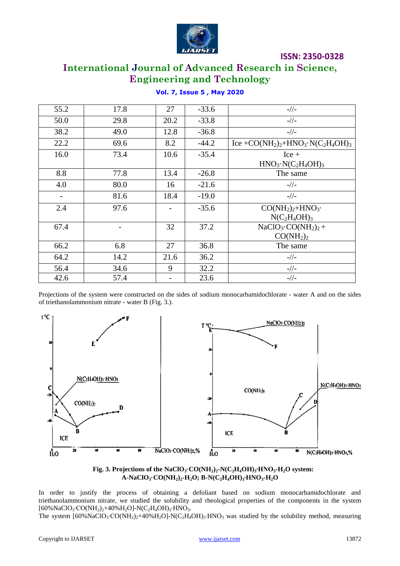

# **International Journal of Advanced Research in Science, Engineering and Technology**

| 55.2              | 17.8 | 27   | $-33.6$ | $-1/1-$                                                                                                    |
|-------------------|------|------|---------|------------------------------------------------------------------------------------------------------------|
| 50.0              | 29.8 | 20.2 | $-33.8$ | $-1/1 -$                                                                                                   |
| 38.2              | 49.0 | 12.8 | $-36.8$ | $-1/1 -$                                                                                                   |
| 22.2              | 69.6 | 8.2  | $-44.2$ | Ice +CO(NH <sub>2</sub> ) <sub>2</sub> +HNO <sub>3</sub> ·N(C <sub>2</sub> H <sub>4</sub> OH) <sub>3</sub> |
| 16.0              | 73.4 | 10.6 | $-35.4$ | $Ice +$<br>$HNO3·N(C2H4OH)3$                                                                               |
| 8.8               | 77.8 | 13.4 | $-26.8$ | The same                                                                                                   |
| 4.0               | 80.0 | 16   | $-21.6$ | $-/-$                                                                                                      |
| $\qquad \qquad -$ | 81.6 | 18.4 | $-19.0$ | $-1/1 -$                                                                                                   |
| 2.4               | 97.6 |      | $-35.6$ | $CO(NH2)2+HNO3$ .<br>$N(C_2H_4OH)_3$                                                                       |
| 67.4              |      | 32   | 37.2    | $NaClO3 \cdot CO(NH2)2 +$<br>CO(NH <sub>2</sub> ) <sub>2</sub>                                             |
| 66.2              | 6.8  | 27   | 36.8    | The same                                                                                                   |
| 64.2              | 14.2 | 21.6 | 36.2    | $-/-$                                                                                                      |
| 56.4              | 34.6 | 9    | 32.2    | $-//-$                                                                                                     |
| 42.6              | 57.4 |      | 23.6    | $-1/1 -$                                                                                                   |

# **Vol. 7, Issue 5 , May 2020**

Projections of the system were constructed on the sides of sodium monocarbamidochlorate - water A and on the sides of triethanolammonium nitrate - water B (Fig. 3.).





In order to justify the process of obtaining a defoliant based on sodium monocarbamidochlorate and triethanolammonium nitrate, we studied the solubility and rheological properties of the components in the system [60%NaClO<sub>3</sub>⋅CO(NH<sub>2</sub>)<sub>2</sub>+40%H<sub>2</sub>O]-N(C<sub>2</sub>H<sub>4</sub>OH)<sub>3</sub>⋅HNO<sub>3</sub>.

The system [60%NaClO<sub>3</sub>⋅CO(NH<sub>2</sub>)<sub>2</sub>+40%H<sub>2</sub>O]-N(C<sub>2</sub>H<sub>4</sub>OH)<sub>3</sub>⋅HNO<sub>3</sub> was studied by the solubility method, measuring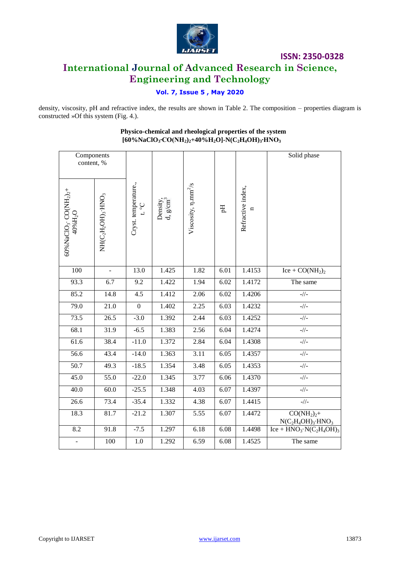

# **International Journal of Advanced Research in Science, Engineering and Technology**

# **Vol. 7, Issue 5 , May 2020**

density, viscosity, pH and refractive index, the results are shown in Table 2. The composition – properties diagram is constructed »Of this system (Fig. 4.).

| Components<br>content, %                                                            |                  |                                       |                                  |                                 |      |                        | Solid phase                                       |
|-------------------------------------------------------------------------------------|------------------|---------------------------------------|----------------------------------|---------------------------------|------|------------------------|---------------------------------------------------|
| 60% NaClO <sub>3</sub> · CO(NH <sub>2</sub> ) <sub>2</sub> +<br>40%H <sub>2</sub> O | NH(C2H2OH)3 HNO3 | Cryst. temperature.,<br>$C_{\circ}$ i | Density,<br>d, g/cm <sup>3</sup> | Viscosity, n.mm <sup>2</sup> /s | Нq   | Refractive index,<br>n |                                                   |
| 100                                                                                 | $\blacksquare$   | 13.0                                  | 1.425                            | 1.82                            | 6.01 | 1.4153                 | $Ice + CO(NH2)2$                                  |
| 93.3                                                                                | 6.7              | 9.2                                   | 1.422                            | 1.94                            | 6.02 | 1.4172                 | The same                                          |
| 85.2                                                                                | 14.8             | $\overline{4.5}$                      | 1.412                            | 2.06                            | 6.02 | 1.4206                 | $-1/1 -$                                          |
| 79.0                                                                                | 21.0             | $\mathbf{0}$                          | 1.402                            | 2.25                            | 6.03 | 1.4232                 | $-//-$                                            |
| 73.5                                                                                | 26.5             | $-3.0$                                | 1.392                            | 2.44                            | 6.03 | 1.4252                 | $-//-$                                            |
| 68.1                                                                                | 31.9             | $-6.5$                                | 1.383                            | 2.56                            | 6.04 | 1.4274                 | $_-//_-$                                          |
| 61.6                                                                                | 38.4             | $-11.0$                               | 1.372                            | 2.84                            | 6.04 | 1.4308                 | $-1/1 -$                                          |
| 56.6                                                                                | 43.4             | $-14.0$                               | 1.363                            | 3.11                            | 6.05 | 1.4357                 | $_-//_-$                                          |
| $\overline{50.7}$                                                                   | 49.3             | $-18.5$                               | 1.354                            | 3.48                            | 6.05 | 1.4353                 | $-1/1 -$                                          |
| 45.0                                                                                | 55.0             | $-22.0$                               | 1.345                            | 3.77                            | 6.06 | 1.4370                 | $-//-$                                            |
| 40.0                                                                                | 60.0             | $-25.5$                               | 1.348                            | 4.03                            | 6.07 | 1.4397                 | $-//-$                                            |
| 26.6                                                                                | 73.4             | $-35.4$                               | 1.332                            | 4.38                            | 6.07 | 1.4415                 | $-//-$                                            |
| 18.3                                                                                | 81.7             | $-21.2$                               | 1.307                            | 5.55                            | 6.07 | 1.4472                 | $CO(NH2)2 +$<br>$N(C_2H_4OH)_3$ ·HNO <sub>3</sub> |
| 8.2                                                                                 | 91.8             | $-7.5$                                | 1.297                            | 6.18                            | 6.08 | 1.4498                 | $Ice + HNO3·N(C2H4OH)3$                           |
| $\Box$                                                                              | 100              | $1.0\,$                               | 1.292                            | 6.59                            | 6.08 | $\overline{1.4525}$    | The same                                          |

# **Physico-chemical and rheological properties of the system [60%NaClO3∙CO(NH2)2+40%H2O]-N(C2H4OH)3∙HNO<sup>3</sup>**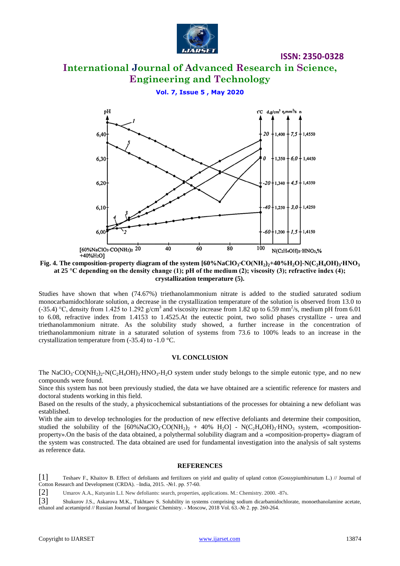

# **International Journal of Advanced Research in Science, Engineering and Technology**

**Vol. 7, Issue 5 , May 2020**



**Fig. 4.** The composition-property diagram of the system  $[60\%$ NaClO<sub>3</sub><sup>•</sup>CO(NH<sub>2</sub>)<sub>2</sub>+40%H<sub>2</sub>O]-N(C<sub>2</sub>H<sub>4</sub>OH)<sub>3</sub><sup>•</sup>HNO<sub>3</sub> **at 25 °С depending on the density change (1); pH of the medium (2); viscosity (3); refractive index (4); crystallization temperature (5).**

Studies have shown that when (74.67%) triethanolammonium nitrate is added to the studied saturated sodium monocarbamidochlorate solution, a decrease in the crystallization temperature of the solution is observed from 13.0 to (-35.4) °C, density from 1.425 to 1.292 g/cm<sup>3</sup> and viscosity increase from 1.82 up to 6.59 mm<sup>2</sup>/s, medium pH from 6.01 to 6.08, refractive index from 1.4153 to 1.4525.At the eutectic point, two solid phases crystallize - urea and triethanolammonium nitrate. As the solubility study showed, a further increase in the concentration of triethanolammonium nitrate in a saturated solution of systems from 73.6 to 100% leads to an increase in the crystallization temperature from (-35.4) to -1.0 °C.

#### **VI. CONCLUSION**

The NaClO<sub>3</sub>·CO(NH<sub>2</sub>)<sub>2</sub>-N(C<sub>2</sub>H<sub>4</sub>OH)<sub>3</sub>·HNO<sub>3</sub>-H<sub>2</sub>O system under study belongs to the simple eutonic type, and no new compounds were found.

Since this system has not been previously studied, the data we have obtained are a scientific reference for masters and doctoral students working in this field.

Based on the results of the study, a physicochemical substantiations of the processes for obtaining a new defoliant was established.

With the aim to develop technologies for the production of new effective defoliants and determine their composition, studied the solubility of the [60%NaClO<sub>3</sub>⋅CO(NH<sub>2</sub>)<sub>2</sub> + 40% H<sub>2</sub>O] - N(C<sub>2</sub>H<sub>4</sub>OH)<sub>3</sub>⋅HNO<sub>3</sub> system, «compositionproperty».On the basis of the data obtained, a polythermal solubility diagram and a «composition-property» diagram of the system was constructed. The data obtained are used for fundamental investigation into the analysis of salt systems as reference data.

#### **REFERENCES**

[1] Teshaev F., Khaitov B. Effect of defoliants and fertilizers on yield and quality of upland cotton (Gossypiumhirsutum L.) // Journal of Cotton Research and Development (CRDA). –India, 2015. -№1. pp. 57-60.

[2] Umarov A.A., Kutyanin L.I. New defoliants: search, properties, applications. M.: Chemistry. 2000. -87s.

[3] Shukurov J.S., Askarova M.K., Tukhtaev S. Solubility in systems comprising sodium dicarbamidochlorate, monoethanolamine acetate, ethanol and acetamiprid // Russian Journal of Inorganic Chemistry. - Moscow, 2018 Vol. 63.-№ 2. pp. 260-264.